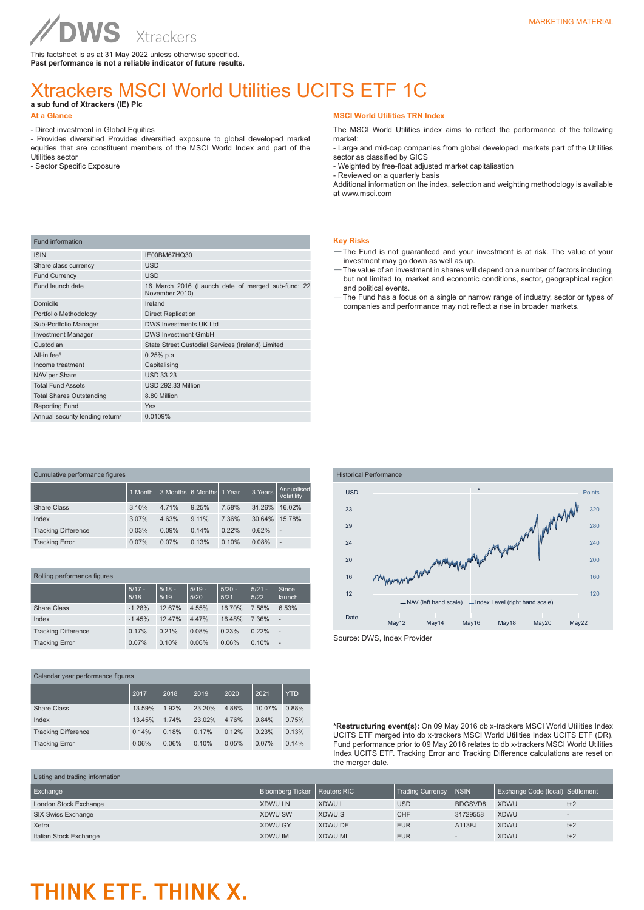**WS** Xtrackers This factsheet is as at 31 May 2022 unless otherwise specified. **Past performance is not a reliable indicator of future results.**

### Xtrackers MSCI World Utilities UCITS ETF 1C

**a sub fund of Xtrackers (IE) Plc** 

#### **At a Glance**

Fund information

- Direct investment in Global Equities

ISIN IE00BM67HQ30 Share class currency USD Fund Currency USD

- Provides diversified Provides diversified exposure to global developed market equities that are constituent members of the MSCI World Index and part of the Utilities sector

- Sector Specific Exposure

#### **MSCI World Utilities TRN Index**

The MSCI World Utilities index aims to reflect the performance of the following market:

- Large and mid-cap companies from global developed markets part of the Utilities sector as classified by GICS

- Weighted by free-float adjusted market capitalisation - Reviewed on a quarterly basis

Additional information on the index, selection and weighting methodology is available at www.msci.com

#### **Key Risks**

- —The Fund is not guaranteed and your investment is at risk. The value of your investment may go down as well as up.
- —The value of an investment in shares will depend on a number of factors including, but not limited to, market and economic conditions, sector, geographical region and political events.
- —The Fund has a focus on a single or narrow range of industry, sector or types of companies and performance may not reflect a rise in broader markets.

| $1.91190$ $0.91101101$                      |                                                                     |
|---------------------------------------------|---------------------------------------------------------------------|
| Fund launch date                            | 16 March 2016 (Launch date of merged sub-fund: 22<br>November 2010) |
| Domicile                                    | Ireland                                                             |
| Portfolio Methodology                       | <b>Direct Replication</b>                                           |
| Sub-Portfolio Manager                       | <b>DWS Investments UK Ltd</b>                                       |
| <b>Investment Manager</b>                   | <b>DWS Investment GmbH</b>                                          |
| Custodian                                   | State Street Custodial Services (Ireland) Limited                   |
| All-in fee $1$                              | $0.25%$ p.a.                                                        |
| Income treatment                            | Capitalising                                                        |
| NAV per Share                               | <b>USD 33.23</b>                                                    |
| <b>Total Fund Assets</b>                    | USD 292.33 Million                                                  |
| <b>Total Shares Outstanding</b>             | 8.80 Million                                                        |
| <b>Reporting Fund</b>                       | <b>Yes</b>                                                          |
| Annual security lending return <sup>2</sup> | 0.0109%                                                             |
|                                             |                                                                     |
|                                             |                                                                     |

| Cumulative performance figures |         |       |                          |       |         |                          |
|--------------------------------|---------|-------|--------------------------|-------|---------|--------------------------|
|                                | 1 Month |       | 3 Months 6 Months 1 Year |       | 3 Years | Annualised<br>Volatility |
| Share Class                    | 3.10%   | 4.71% | 9.25%                    | 7.58% | 31.26%  | 16.02%                   |
| Index                          | 3.07%   | 4.63% | 9.11%                    | 7.36% | 30.64%  | 15.78%                   |
| <b>Tracking Difference</b>     | 0.03%   | 0.09% | 0.14%                    | 0.22% | 0.62%   | $\overline{a}$           |
| <b>Tracking Error</b>          | 0.07%   | 0.07% | 0.13%                    | 0.10% | 0.08%   | ٠                        |

| Rolling performance figures |  |
|-----------------------------|--|
|                             |  |

|                            | $5/17 -$<br>5/18 | $5/18 -$<br>5/19 | $5/19 -$<br>5/20 | $5/20 -$<br>5/21 | $5/21 -$<br>5/22 | Since<br>launch |
|----------------------------|------------------|------------------|------------------|------------------|------------------|-----------------|
| Share Class                | $-1.28%$         | 12.67%           | 4.55%            | 16.70%           | 7.58%            | 6.53%           |
| Index                      | $-1.45%$         | 12.47%           | 4.47%            | 16.48%           | 7.36%            | ٠               |
| <b>Tracking Difference</b> | 0.17%            | 0.21%            | 0.08%            | 0.23%            | 0.22%            | -               |
| <b>Tracking Error</b>      | 0.07%            | 0.10%            | 0.06%            | 0.06%            | 0.10%            |                 |

| Calendar year performance figures |        |       |        |       |        |            |
|-----------------------------------|--------|-------|--------|-------|--------|------------|
|                                   | 2017   | 2018  | 2019   | 2020  | 2021   | <b>YTD</b> |
| Share Class                       | 13.59% | 1.92% | 23.20% | 4.88% | 10.07% | 0.88%      |
| Index                             | 13.45% | 1.74% | 23.02% | 4.76% | 9.84%  | 0.75%      |
| <b>Tracking Difference</b>        | 0.14%  | 0.18% | 0.17%  | 0.12% | 0.23%  | 0.13%      |
| <b>Tracking Error</b>             | 0.06%  | 0.06% | 0.10%  | 0.05% | 0.07%  | 0.14%      |
|                                   |        |       |        |       |        |            |



**\*Restructuring event(s):** On 09 May 2016 db x-trackers MSCI World Utilities Index UCITS ETF merged into db x-trackers MSCI World Utilities Index UCITS ETF (DR). Fund performance prior to 09 May 2016 relates to db x-trackers MSCI World Utilities Index UCITS ETF. Tracking Error and Tracking Difference calculations are reset on the merger date.

| Listing and trading information |                                |         |                  |              |                                  |       |
|---------------------------------|--------------------------------|---------|------------------|--------------|----------------------------------|-------|
| Exchange                        | Bloomberg Ticker   Reuters RIC |         | Trading Currency | <b>INSIN</b> | Exchange Code (local) Settlement |       |
| London Stock Exchange           | <b>XDWU LN</b>                 | XDWU.L  | <b>USD</b>       | BDGSVD8      | <b>XDWU</b>                      | $t+2$ |
| SIX Swiss Exchange              | <b>XDWU SW</b>                 | XDWU.S  | <b>CHF</b>       | 31729558     | <b>XDWU</b>                      |       |
| Xetra                           | <b>XDWU GY</b>                 | XDWU.DE | <b>EUR</b>       | A113FJ       | <b>XDWU</b>                      | $t+2$ |
| Italian Stock Exchange          | <b>XDWU IM</b>                 | XDWU.MI | <b>EUR</b>       |              | <b>XDWU</b>                      | $t+2$ |

## THINK ETF. THINK X.